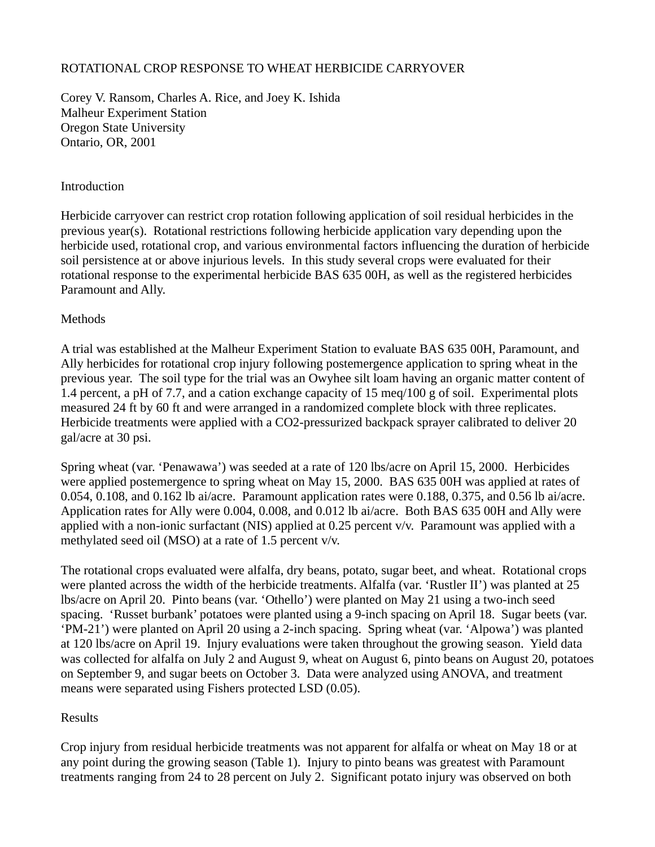## ROTATIONAL CROP RESPONSE TO WHEAT HERBICIDE CARRYOVER

Corey V. Ransom, Charles A. Rice, and Joey K. Ishida Malheur Experiment Station Oregon State University Ontario, OR, 2001

## **Introduction**

Herbicide carryover can restrict crop rotation following application of soil residual herbicides in the previous year(s). Rotational restrictions following herbicide application vary depending upon the herbicide used, rotational crop, and various environmental factors influencing the duration of herbicide soil persistence at or above injurious levels. In this study several crops were evaluated for their rotational response to the experimental herbicide BAS 635 00H, as well as the registered herbicides Paramount and Ally.

## **Methods**

A trial was established at the Malheur Experiment Station to evaluate BAS 635 00H, Paramount, and Ally herbicides for rotational crop injury following postemergence application to spring wheat in the previous year. The soil type for the trial was an Owyhee silt loam having an organic matter content of 1.4 percent, a pH of 7.7, and a cation exchange capacity of 15 meq/100 g of soil. Experimental plots measured 24 ft by 60 ft and were arranged in a randomized complete block with three replicates. Herbicide treatments were applied with a CO2-pressurized backpack sprayer calibrated to deliver 20 gal/acre at 30 psi.

Spring wheat (var. 'Penawawa') was seeded at a rate of 120 lbs/acre on April 15, 2000. Herbicides were applied postemergence to spring wheat on May 15, 2000. BAS 635 00H was applied at rates of 0.054, 0.108, and 0.162 lb ai/acre. Paramount application rates were 0.188, 0.375, and 0.56 lb ai/acre. Application rates for Ally were 0.004, 0.008, and 0.012 lb ai/acre. Both BAS 635 00H and Ally were applied with a non-ionic surfactant (NIS) applied at 0.25 percent v/v. Paramount was applied with a methylated seed oil (MSO) at a rate of 1.5 percent v/v.

The rotational crops evaluated were alfalfa, dry beans, potato, sugar beet, and wheat. Rotational crops were planted across the width of the herbicide treatments. Alfalfa (var. 'Rustler II') was planted at 25 lbs/acre on April 20. Pinto beans (var. 'Othello') were planted on May 21 using a two-inch seed spacing. 'Russet burbank' potatoes were planted using a 9-inch spacing on April 18. Sugar beets (var. 'PM-21') were planted on April 20 using a 2-inch spacing. Spring wheat (var. 'Alpowa') was planted at 120 lbs/acre on April 19. Injury evaluations were taken throughout the growing season. Yield data was collected for alfalfa on July 2 and August 9, wheat on August 6, pinto beans on August 20, potatoes on September 9, and sugar beets on October 3. Data were analyzed using ANOVA, and treatment means were separated using Fishers protected LSD (0.05).

## Results

Crop injury from residual herbicide treatments was not apparent for alfalfa or wheat on May 18 or at any point during the growing season (Table 1). Injury to pinto beans was greatest with Paramount treatments ranging from 24 to 28 percent on July 2. Significant potato injury was observed on both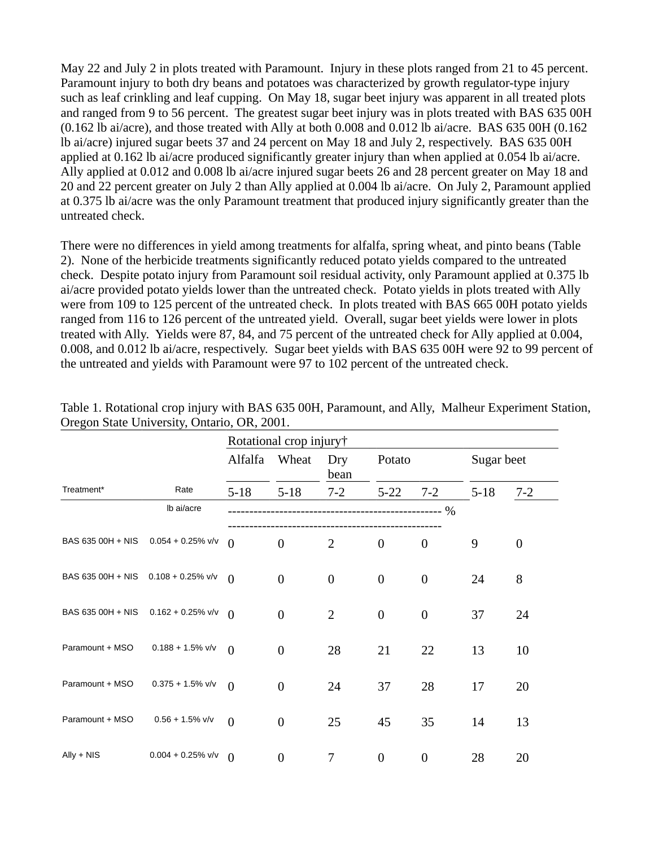May 22 and July 2 in plots treated with Paramount. Injury in these plots ranged from 21 to 45 percent. Paramount injury to both dry beans and potatoes was characterized by growth regulator-type injury such as leaf crinkling and leaf cupping. On May 18, sugar beet injury was apparent in all treated plots and ranged from 9 to 56 percent. The greatest sugar beet injury was in plots treated with BAS 635 00H (0.162 lb ai/acre), and those treated with Ally at both 0.008 and 0.012 lb ai/acre. BAS 635 00H (0.162 lb ai/acre) injured sugar beets 37 and 24 percent on May 18 and July 2, respectively. BAS 635 00H applied at 0.162 lb ai/acre produced significantly greater injury than when applied at 0.054 lb ai/acre. Ally applied at 0.012 and 0.008 lb ai/acre injured sugar beets 26 and 28 percent greater on May 18 and 20 and 22 percent greater on July 2 than Ally applied at 0.004 lb ai/acre. On July 2, Paramount applied at 0.375 lb ai/acre was the only Paramount treatment that produced injury significantly greater than the untreated check.

There were no differences in yield among treatments for alfalfa, spring wheat, and pinto beans (Table 2). None of the herbicide treatments significantly reduced potato yields compared to the untreated check. Despite potato injury from Paramount soil residual activity, only Paramount applied at 0.375 lb ai/acre provided potato yields lower than the untreated check. Potato yields in plots treated with Ally were from 109 to 125 percent of the untreated check. In plots treated with BAS 665 00H potato yields ranged from 116 to 126 percent of the untreated yield. Overall, sugar beet yields were lower in plots treated with Ally. Yields were 87, 84, and 75 percent of the untreated check for Ally applied at 0.004, 0.008, and 0.012 lb ai/acre, respectively. Sugar beet yields with BAS 635 00H were 92 to 99 percent of the untreated and yields with Paramount were 97 to 102 percent of the untreated check.

|                                     |                      | Rotational crop injury† |                  |                  |                  |                  |            |                  |  |
|-------------------------------------|----------------------|-------------------------|------------------|------------------|------------------|------------------|------------|------------------|--|
|                                     |                      | Alfalfa                 | Wheat            | Dry<br>bean      | Potato           |                  | Sugar beet |                  |  |
| Treatment*                          | Rate                 | $5 - 18$                | $5 - 18$         | $7 - 2$          | $5 - 22$         | $7 - 2$          | $5 - 18$   | $7 - 2$          |  |
|                                     | Ib ai/acre           |                         |                  |                  |                  |                  |            |                  |  |
| BAS 635 00H + NIS                   | $0.054 + 0.25\%$ v/v | $\Omega$                | $\boldsymbol{0}$ | $\overline{2}$   | $\boldsymbol{0}$ | $\boldsymbol{0}$ | 9          | $\boldsymbol{0}$ |  |
| BAS 635 00H + NIS 0.108 + 0.25% v/v |                      | $\Omega$                | $\overline{0}$   | $\boldsymbol{0}$ | $\mathbf{0}$     | $\boldsymbol{0}$ | 24         | 8                |  |
| BAS 635 00H + NIS                   | $0.162 + 0.25\%$ v/v | $\Omega$                | $\boldsymbol{0}$ | $\overline{2}$   | $\boldsymbol{0}$ | $\boldsymbol{0}$ | 37         | 24               |  |
| Paramount + MSO                     | $0.188 + 1.5\%$ v/v  | $\Omega$                | $\overline{0}$   | 28               | 21               | 22               | 13         | 10               |  |
| Paramount + MSO                     | $0.375 + 1.5\%$ v/v  | $\Omega$                | $\overline{0}$   | 24               | 37               | 28               | 17         | 20               |  |
| Paramount + MSO                     | $0.56 + 1.5\%$ v/v   | $\overline{0}$          | $\overline{0}$   | 25               | 45               | 35               | 14         | 13               |  |
| $\mathsf{Ally} + \mathsf{NIS}$      | $0.004 + 0.25\%$ v/v | $\theta$                | $\boldsymbol{0}$ | 7                | $\boldsymbol{0}$ | $\boldsymbol{0}$ | 28         | 20               |  |

Table 1. Rotational crop injury with BAS 635 00H, Paramount, and Ally, Malheur Experiment Station, Oregon State University, Ontario, OR, 2001.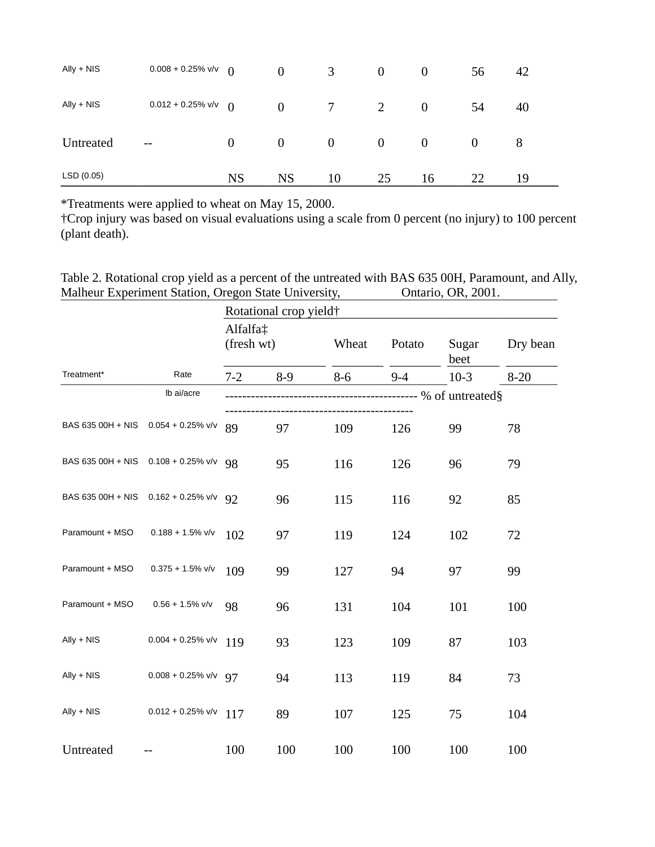| $\mathsf{Ally} + \mathsf{NIS}$ | $0.008 + 0.25\%$ v/v     | $\Omega$         | $\overline{0}$ | 3                | $\overline{0}$ | $\theta$         | 56       | 42 |
|--------------------------------|--------------------------|------------------|----------------|------------------|----------------|------------------|----------|----|
| $\mathsf{Ally} + \mathsf{NIS}$ | $0.012 + 0.25\%$ v/v     | $\theta$         | $\overline{0}$ | 7                | 2              | $\boldsymbol{0}$ | 54       | 40 |
| Untreated                      | $\overline{\phantom{m}}$ | $\boldsymbol{0}$ | $\overline{0}$ | $\boldsymbol{0}$ | $\overline{0}$ | $\bf{0}$         | $\theta$ | 8  |
| LSD (0.05)                     |                          | <b>NS</b>        | <b>NS</b>      | 10               | 25             | 16               | 22       | 19 |

\*Treatments were applied to wheat on May 15, 2000.

†Crop injury was based on visual evaluations using a scale from 0 percent (no injury) to 100 percent (plant death).

Table 2. Rotational crop yield as a percent of the untreated with BAS 635 00H, Paramount, and Ally, Malheur Experiment Station, Oregon State University, Ontario, OR, 2001.

|                                     |                                     | Rotational crop yield†                               |       |       |         |               |          |  |  |
|-------------------------------------|-------------------------------------|------------------------------------------------------|-------|-------|---------|---------------|----------|--|--|
| Treatment*                          |                                     | Alfalfa‡<br>(fresh wt)                               |       | Wheat | Potato  | Sugar<br>beet | Dry bean |  |  |
|                                     | Rate                                | $7 - 2$                                              | $8-9$ | $8-6$ | $9 - 4$ | $10-3$        | $8 - 20$ |  |  |
|                                     | Ib ai/acre                          | ------------------------------------ % of untreated§ |       |       |         |               |          |  |  |
| BAS 635 00H + NIS 0.054 + 0.25% v/v |                                     | 89                                                   | 97    | 109   | 126     | 99            | 78       |  |  |
| BAS 635 00H + NIS 0.108 + 0.25% v/v |                                     | 98                                                   | 95    | 116   | 126     | 96            | 79       |  |  |
|                                     | BAS 635 00H + NIS 0.162 + 0.25% v/v | 92                                                   | 96    | 115   | 116     | 92            | 85       |  |  |
| Paramount + MSO                     | $0.188 + 1.5\%$ v/v                 | 102                                                  | 97    | 119   | 124     | 102           | 72       |  |  |
| Paramount + MSO                     | $0.375 + 1.5\%$ v/v                 | 109                                                  | 99    | 127   | 94      | 97            | 99       |  |  |
| Paramount + MSO                     | $0.56 + 1.5\%$ v/v                  | 98                                                   | 96    | 131   | 104     | 101           | 100      |  |  |
| $\mathsf{Ally} + \mathsf{NIS}$      | $0.004 + 0.25\%$ v/v                | 119                                                  | 93    | 123   | 109     | 87            | 103      |  |  |
| $\mathsf{Ally} + \mathsf{NIS}$      | $0.008 + 0.25\%$ v/v                | 97                                                   | 94    | 113   | 119     | 84            | 73       |  |  |
| $\mathsf{Ally} + \mathsf{NIS}$      | $0.012 + 0.25\%$ v/v                | 117                                                  | 89    | 107   | 125     | 75            | 104      |  |  |
| Untreated                           |                                     | 100                                                  | 100   | 100   | 100     | 100           | 100      |  |  |